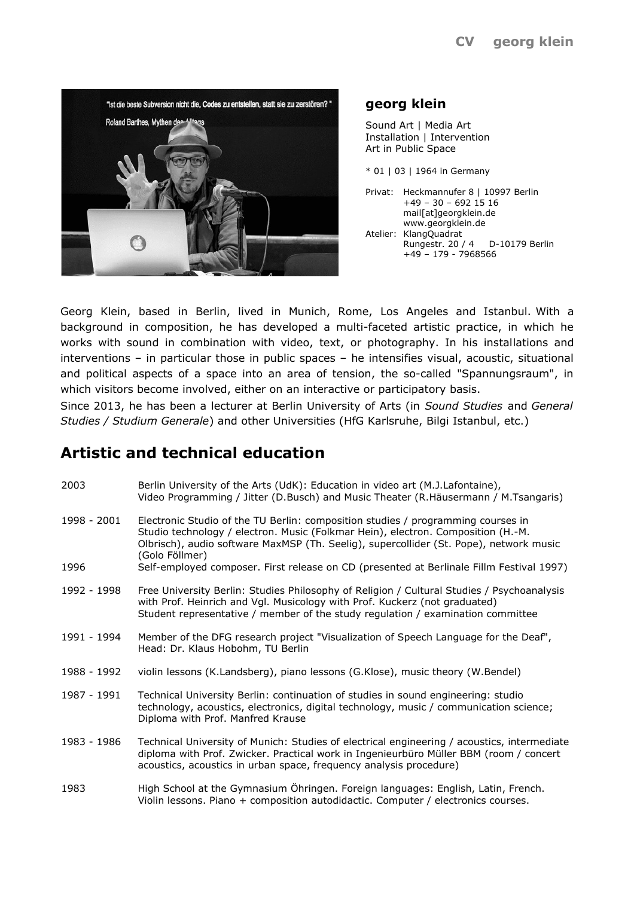

# **georg klein**

Sound Art | Media Art Installation | Intervention Art in Public Space

\* 01 | 03 | 1964 in Germany

Privat: Heckmannufer 8 | 10997 Berlin +49 – 30 – 692 15 16 mail[at]georgklein.de www.georgklein.de Atelier: KlangQuadrat Rungestr. 20 / 4 D-10179 Berlin +49 – 179 - 7968566

Georg Klein, based in Berlin, lived in Munich, Rome, Los Angeles and Istanbul. With a background in composition, he has developed a multi-faceted artistic practice, in which he works with sound in combination with video, text, or photography. In his installations and interventions – in particular those in public spaces – he intensifies visual, acoustic, situational and political aspects of a space into an area of tension, the so-called "Spannungsraum", in which visitors become involved, either on an interactive or participatory basis.

Since 2013, he has been a lecturer at Berlin University of Arts (in *Sound Studies* and *General Studies / Studium Generale*) and other Universities (HfG Karlsruhe, Bilgi Istanbul, etc.)

# **Artistic and technical education**

| 2003        | Berlin University of the Arts (UdK): Education in video art (M.J.Lafontaine),<br>Video Programming / Jitter (D.Busch) and Music Theater (R.Häusermann / M.Tsangaris)                                                                                                             |
|-------------|----------------------------------------------------------------------------------------------------------------------------------------------------------------------------------------------------------------------------------------------------------------------------------|
| 1998 - 2001 | Electronic Studio of the TU Berlin: composition studies / programming courses in<br>Studio technology / electron. Music (Folkmar Hein), electron. Composition (H.-M.<br>Olbrisch), audio software MaxMSP (Th. Seelig), supercollider (St. Pope), network music<br>(Golo Föllmer) |
| 1996        | Self-employed composer. First release on CD (presented at Berlinale Fillm Festival 1997)                                                                                                                                                                                         |
| 1992 - 1998 | Free University Berlin: Studies Philosophy of Religion / Cultural Studies / Psychoanalysis<br>with Prof. Heinrich and Vgl. Musicology with Prof. Kuckerz (not graduated)<br>Student representative / member of the study regulation / examination committee                      |
| 1991 - 1994 | Member of the DFG research project "Visualization of Speech Language for the Deaf",<br>Head: Dr. Klaus Hobohm, TU Berlin                                                                                                                                                         |
| 1988 - 1992 | violin lessons (K.Landsberg), piano lessons (G.Klose), music theory (W.Bendel)                                                                                                                                                                                                   |
| 1987 - 1991 | Technical University Berlin: continuation of studies in sound engineering: studio<br>technology, acoustics, electronics, digital technology, music / communication science;<br>Diploma with Prof. Manfred Krause                                                                 |
| 1983 - 1986 | Technical University of Munich: Studies of electrical engineering / acoustics, intermediate<br>diploma with Prof. Zwicker. Practical work in Ingenieurbüro Müller BBM (room / concert<br>acoustics, acoustics in urban space, frequency analysis procedure)                      |
| 1983        | High School at the Gymnasium Öhringen. Foreign languages: English, Latin, French.                                                                                                                                                                                                |

Violin lessons. Piano + composition autodidactic. Computer / electronics courses.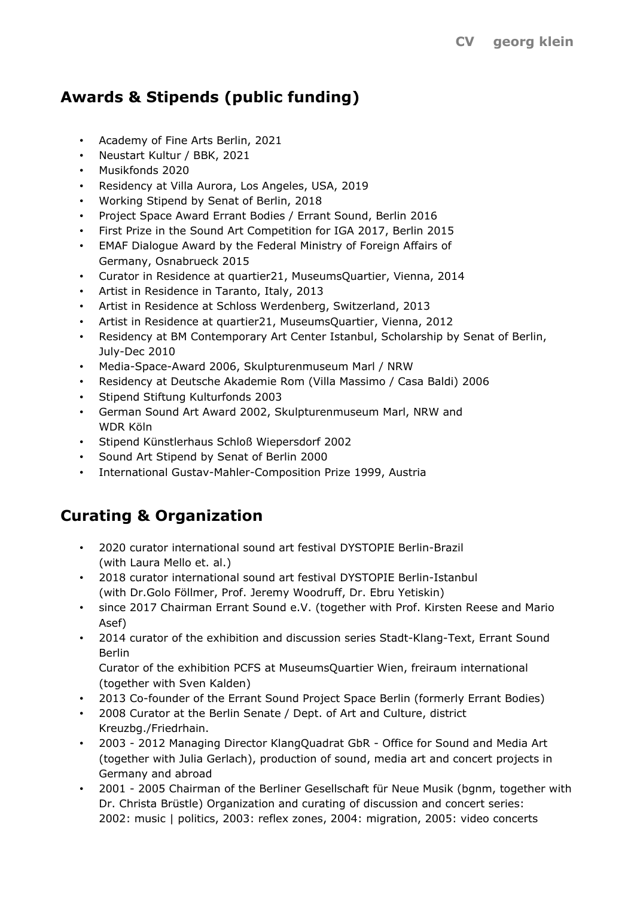# **Awards & Stipends (public funding)**

- Academy of Fine Arts Berlin, 2021
- Neustart Kultur / BBK, 2021
- Musikfonds 2020
- Residency at Villa Aurora, Los Angeles, USA, 2019
- Working Stipend by Senat of Berlin, 2018
- Project Space Award Errant Bodies / Errant Sound, Berlin 2016
- First Prize in the Sound Art Competition for IGA 2017, Berlin 2015
- EMAF Dialogue Award by the Federal Ministry of Foreign Affairs of Germany, Osnabrueck 2015
- Curator in Residence at quartier21, MuseumsQuartier, Vienna, 2014
- Artist in Residence in Taranto, Italy, 2013
- Artist in Residence at Schloss Werdenberg, Switzerland, 2013
- Artist in Residence at quartier21, MuseumsQuartier, Vienna, 2012
- Residency at BM Contemporary Art Center Istanbul, Scholarship by Senat of Berlin, July-Dec 2010
- Media-Space-Award 2006, Skulpturenmuseum Marl / NRW
- Residency at Deutsche Akademie Rom (Villa Massimo / Casa Baldi) 2006
- Stipend Stiftung Kulturfonds 2003
- German Sound Art Award 2002, Skulpturenmuseum Marl, NRW and WDR Köln
- Stipend Künstlerhaus Schloß Wiepersdorf 2002
- Sound Art Stipend by Senat of Berlin 2000
- International Gustav-Mahler-Composition Prize 1999, Austria

# **Curating & Organization**

- 2020 curator international sound art festival DYSTOPIE Berlin-Brazil (with Laura Mello et. al.)
- 2018 curator international sound art festival DYSTOPIE Berlin-Istanbul (with Dr.Golo Föllmer, Prof. Jeremy Woodruff, Dr. Ebru Yetiskin)
- since 2017 Chairman Errant Sound e.V. (together with Prof. Kirsten Reese and Mario Asef)
- 2014 curator of the exhibition and discussion series Stadt-Klang-Text, Errant Sound Berlin

Curator of the exhibition PCFS at MuseumsQuartier Wien, freiraum international (together with Sven Kalden)

- 2013 Co-founder of the Errant Sound Project Space Berlin (formerly Errant Bodies)
- 2008 Curator at the Berlin Senate / Dept. of Art and Culture, district Kreuzbg./Friedrhain.
- 2003 2012 Managing Director KlangQuadrat GbR Office for Sound and Media Art (together with Julia Gerlach), production of sound, media art and concert projects in Germany and abroad
- 2001 2005 Chairman of the Berliner Gesellschaft für Neue Musik (bgnm, together with Dr. Christa Brüstle) Organization and curating of discussion and concert series: 2002: music | politics, 2003: reflex zones, 2004: migration, 2005: video concerts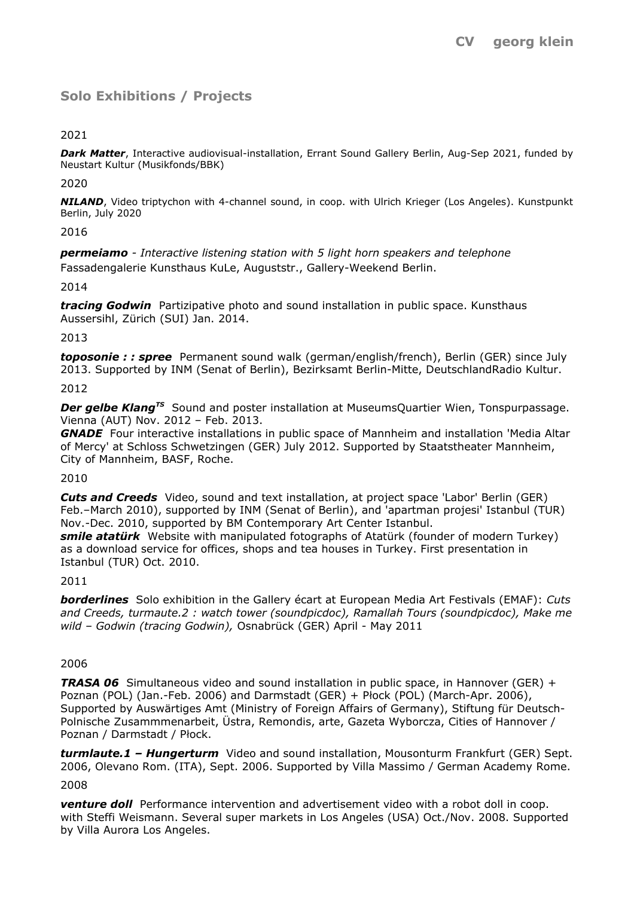# **Solo Exhibitions / Projects**

## 2021

*Dark Matter*, Interactive audiovisual-installation, Errant Sound Gallery Berlin, Aug-Sep 2021, funded by Neustart Kultur (Musikfonds/BBK)

2020

*NILAND*, Video triptychon with 4-channel sound, in coop. with Ulrich Krieger (Los Angeles). Kunstpunkt Berlin, July 2020

2016

*permeiamo - Interactive listening station with 5 light horn speakers and telephone* Fassadengalerie Kunsthaus KuLe, Auguststr., Gallery-Weekend Berlin.

2014

*tracing Godwin* Partizipative photo and sound installation in public space. Kunsthaus Aussersihl, Zürich (SUI) Jan. 2014.

#### 2013

*toposonie : : spree* Permanent sound walk (german/english/french), Berlin (GER) since July 2013. Supported by INM (Senat of Berlin), Bezirksamt Berlin-Mitte, DeutschlandRadio Kultur.

#### 2012

**Der gelbe Klang<sup>TS</sup>** Sound and poster installation at MuseumsQuartier Wien, Tonspurpassage. Vienna (AUT) Nov. 2012 – Feb. 2013.

*GNADE* Four interactive installations in public space of Mannheim and installation 'Media Altar of Mercy' at Schloss Schwetzingen (GER) July 2012. Supported by Staatstheater Mannheim, City of Mannheim, BASF, Roche.

## 2010

*Cuts and Creeds* Video, sound and text installation, at project space 'Labor' Berlin (GER) Feb.–March 2010), supported by INM (Senat of Berlin), and 'apartman projesi' Istanbul (TUR) Nov.-Dec. 2010, supported by BM Contemporary Art Center Istanbul.

*smile atatürk* Website with manipulated fotographs of Atatürk (founder of modern Turkey) as a download service for offices, shops and tea houses in Turkey. First presentation in Istanbul (TUR) Oct. 2010.

## 2011

*borderlines* Solo exhibition in the Gallery écart at European Media Art Festivals (EMAF): *Cuts and Creeds, turmaute.2 : watch tower (soundpicdoc), Ramallah Tours (soundpicdoc), Make me wild – Godwin (tracing Godwin),* Osnabrück (GER) April - May 2011

#### 2006

*TRASA 06* Simultaneous video and sound installation in public space, in Hannover (GER) + Poznan (POL) (Jan.-Feb. 2006) and Darmstadt (GER) + Płock (POL) (March-Apr. 2006), Supported by Auswärtiges Amt (Ministry of Foreign Affairs of Germany), Stiftung für Deutsch-Polnische Zusammmenarbeit, Üstra, Remondis, arte, Gazeta Wyborcza, Cities of Hannover / Poznan / Darmstadt / Płock.

*turmlaute.1 – Hungerturm* Video and sound installation, Mousonturm Frankfurt (GER) Sept. 2006, Olevano Rom. (ITA), Sept. 2006. Supported by Villa Massimo / German Academy Rome.

#### 2008

*venture doll* Performance intervention and advertisement video with a robot doll in coop. with Steffi Weismann. Several super markets in Los Angeles (USA) Oct./Nov. 2008. Supported by Villa Aurora Los Angeles.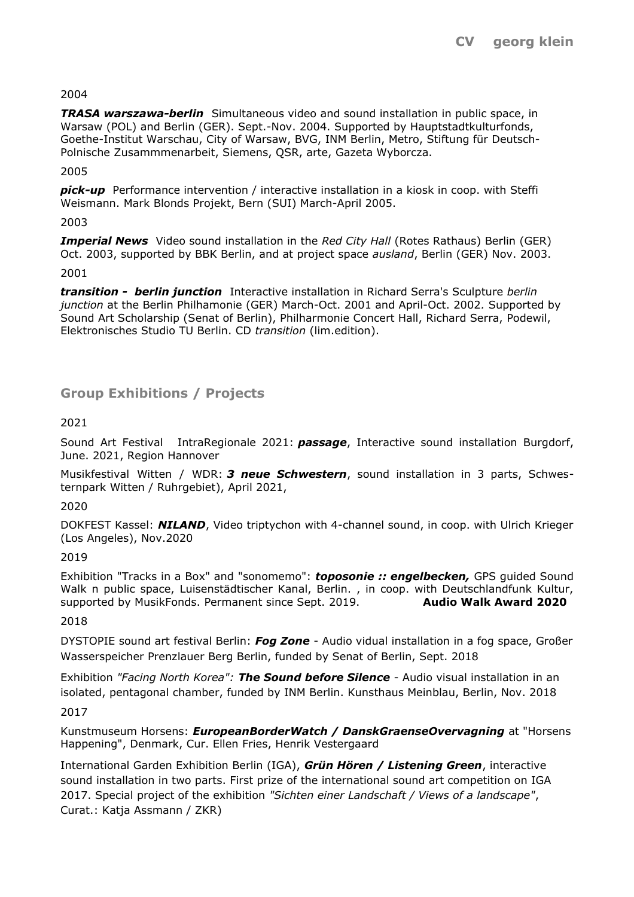## 2004

*TRASA warszawa-berlin* Simultaneous video and sound installation in public space, in Warsaw (POL) and Berlin (GER). Sept.-Nov. 2004. Supported by Hauptstadtkulturfonds, Goethe-Institut Warschau, City of Warsaw, BVG, INM Berlin, Metro, Stiftung für Deutsch-Polnische Zusammmenarbeit, Siemens, QSR, arte, Gazeta Wyborcza.

2005

*pick-up* Performance intervention / interactive installation in a kiosk in coop. with Steffi Weismann. Mark Blonds Projekt, Bern (SUI) March-April 2005.

## 2003

*Imperial News* Video sound installation in the *Red City Hall* (Rotes Rathaus) Berlin (GER) Oct. 2003, supported by BBK Berlin, and at project space *ausland*, Berlin (GER) Nov. 2003.

2001

*transition - berlin junction* Interactive installation in Richard Serra's Sculpture *berlin junction* at the Berlin Philhamonie (GER) March-Oct. 2001 and April-Oct. 2002*.* Supported by Sound Art Scholarship (Senat of Berlin), Philharmonie Concert Hall, Richard Serra, Podewil, Elektronisches Studio TU Berlin. CD *transition* (lim.edition).

# **Group Exhibitions / Projects**

# 2021

Sound Art Festival IntraRegionale 2021: *passage*, Interactive sound installation Burgdorf, June. 2021, Region Hannover

Musikfestival Witten / WDR: *3 neue Schwestern*, sound installation in 3 parts, Schwesternpark Witten / Ruhrgebiet), April 2021,

2020

DOKFEST Kassel: *NILAND*, Video triptychon with 4-channel sound, in coop. with Ulrich Krieger (Los Angeles), Nov.2020

2019

Exhibition "Tracks in a Box" and "sonomemo": *toposonie :: engelbecken,* GPS guided Sound Walk n public space, Luisenstädtischer Kanal, Berlin., in coop. with Deutschlandfunk Kultur, supported by MusikFonds. Permanent since Sept. 2019. **Audio Walk Award 2020**

## 2018

DYSTOPIE sound art festival Berlin: *Fog Zone* - Audio vidual installation in a fog space, Großer Wasserspeicher Prenzlauer Berg Berlin, funded by Senat of Berlin, Sept. 2018

Exhibition *"Facing North Korea": The Sound before Silence* - Audio visual installation in an isolated, pentagonal chamber, funded by INM Berlin. Kunsthaus Meinblau, Berlin, Nov. 2018

2017

Kunstmuseum Horsens: *EuropeanBorderWatch / DanskGraenseOvervagning* at "Horsens Happening", Denmark, Cur. Ellen Fries, Henrik Vestergaard

International Garden Exhibition Berlin (IGA), *Grün Hören / Listening Green*, interactive sound installation in two parts. First prize of the international sound art competition on IGA 2017. Special project of the exhibition *"Sichten einer Landschaft / Views of a landscape"*, Curat.: Katja Assmann / ZKR)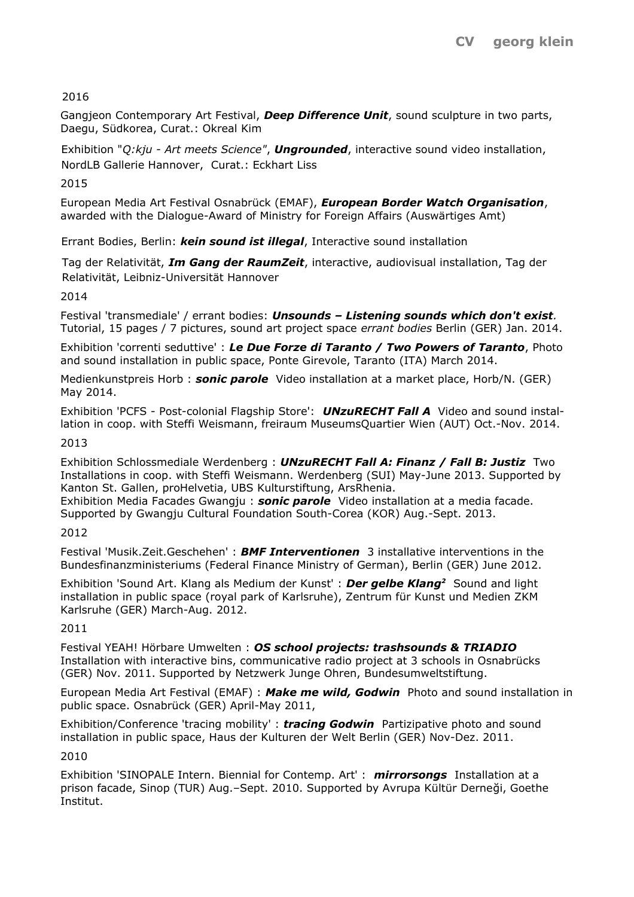# 2016

Gangjeon Contemporary Art Festival, *Deep Difference Unit*, sound sculpture in two parts, Daegu, Südkorea, Curat.: Okreal Kim

Exhibition "*Q:kju - Art meets Science"*, *Ungrounded*, interactive sound video installation, NordLB Gallerie Hannover, Curat.: Eckhart Liss

2015

European Media Art Festival Osnabrück (EMAF), *European Border Watch Organisation*, awarded with the Dialogue-Award of Ministry for Foreign Affairs (Auswärtiges Amt)

Errant Bodies, Berlin: *kein sound ist illegal*, Interactive sound installation

Tag der Relativität, *Im Gang der RaumZeit*, interactive, audiovisual installation, Tag der Relativität, Leibniz-Universität Hannover

2014

Festival 'transmediale' / errant bodies: *Unsounds – Listening sounds which don't exist.* Tutorial, 15 pages / 7 pictures, sound art project space *errant bodies* Berlin (GER) Jan. 2014.

Exhibition 'correnti seduttive' : *Le Due Forze di Taranto / Two Powers of Taranto*, Photo and sound installation in public space, Ponte Girevole, Taranto (ITA) March 2014.

Medienkunstpreis Horb : *sonic parole* Video installation at a market place, Horb/N. (GER) May 2014.

Exhibition 'PCFS - Post-colonial Flagship Store': *UNzuRECHT Fall A* Video and sound installation in coop. with Steffi Weismann, freiraum MuseumsQuartier Wien (AUT) Oct.-Nov. 2014.

#### 2013

Exhibition Schlossmediale Werdenberg : *UNzuRECHT Fall A: Finanz / Fall B: Justiz* Two Installations in coop. with Steffi Weismann. Werdenberg (SUI) May-June 2013. Supported by Kanton St. Gallen, proHelvetia, UBS Kulturstiftung, ArsRhenia.

Exhibition Media Facades Gwangju : *sonic parole* Video installation at a media facade. Supported by Gwangju Cultural Foundation South-Corea (KOR) Aug.-Sept. 2013.

## 2012

Festival 'Musik.Zeit.Geschehen' : *BMF Interventionen* 3 installative interventions in the Bundesfinanzministeriums (Federal Finance Ministry of German), Berlin (GER) June 2012.

Exhibition 'Sound Art. Klang als Medium der Kunst' : *Der gelbe Klang<sup>2</sup>* Sound and light installation in public space (royal park of Karlsruhe), Zentrum für Kunst und Medien ZKM Karlsruhe (GER) March-Aug. 2012.

## 2011

Festival YEAH! Hörbare Umwelten : *OS school projects: trashsounds & TRIADIO* Installation with interactive bins, communicative radio project at 3 schools in Osnabrücks (GER) Nov. 2011. Supported by Netzwerk Junge Ohren, Bundesumweltstiftung.

European Media Art Festival (EMAF) : *Make me wild, Godwin* Photo and sound installation in public space. Osnabrück (GER) April-May 2011,

Exhibition/Conference 'tracing mobility' : *tracing Godwin* Partizipative photo and sound installation in public space, Haus der Kulturen der Welt Berlin (GER) Nov-Dez. 2011.

## 2010

Exhibition 'SINOPALE Intern. Biennial for Contemp. Art' : *mirrorsongs* Installation at a prison facade, Sinop (TUR) Aug.–Sept. 2010. Supported by Avrupa Kültür Derneği, Goethe Institut.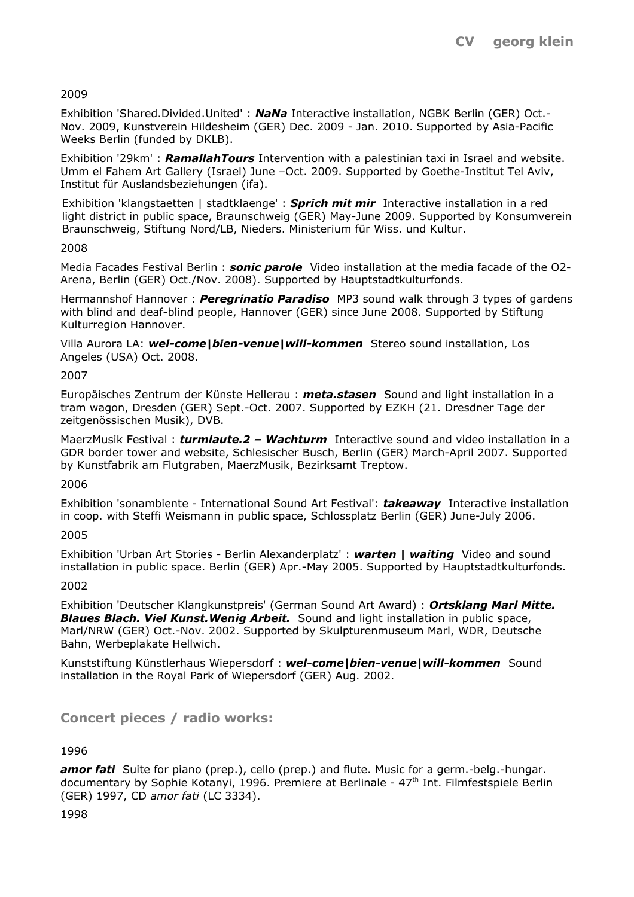## 2009

Exhibition 'Shared.Divided.United' : *NaNa* Interactive installation, NGBK Berlin (GER) Oct.- Nov. 2009, Kunstverein Hildesheim (GER) Dec. 2009 - Jan. 2010. Supported by Asia-Pacific Weeks Berlin (funded by DKLB).

Exhibition '29km' : *RamallahTours* Intervention with a palestinian taxi in Israel and website. Umm el Fahem Art Gallery (Israel) June –Oct. 2009. Supported by Goethe-Institut Tel Aviv, Institut für Auslandsbeziehungen (ifa).

Exhibition 'klangstaetten | stadtklaenge' : *Sprich mit mir* Interactive installation in a red light district in public space, Braunschweig (GER) May-June 2009. Supported by Konsumverein Braunschweig, Stiftung Nord/LB, Nieders. Ministerium für Wiss. und Kultur.

## 2008

Media Facades Festival Berlin : *sonic parole* Video installation at the media facade of the O2- Arena, Berlin (GER) Oct./Nov. 2008). Supported by Hauptstadtkulturfonds.

Hermannshof Hannover : *Peregrinatio Paradiso* MP3 sound walk through 3 types of gardens with blind and deaf-blind people, Hannover (GER) since June 2008. Supported by Stiftung Kulturregion Hannover.

Villa Aurora LA: *wel-come|bien-venue|will-kommen* Stereo sound installation, Los Angeles (USA) Oct. 2008.

## 2007

Europäisches Zentrum der Künste Hellerau : *meta.stasen* Sound and light installation in a tram wagon, Dresden (GER) Sept.-Oct. 2007. Supported by EZKH (21. Dresdner Tage der zeitgenössischen Musik), DVB.

MaerzMusik Festival : *turmlaute.2 – Wachturm* Interactive sound and video installation in a GDR border tower and website, Schlesischer Busch, Berlin (GER) March-April 2007. Supported by Kunstfabrik am Flutgraben, MaerzMusik, Bezirksamt Treptow.

## 2006

Exhibition 'sonambiente - International Sound Art Festival': *takeaway* Interactive installation in coop. with Steffi Weismann in public space, Schlossplatz Berlin (GER) June-July 2006.

## 2005

Exhibition 'Urban Art Stories - Berlin Alexanderplatz' : *warten | waiting* Video and sound installation in public space. Berlin (GER) Apr.-May 2005. Supported by Hauptstadtkulturfonds.

## 2002

Exhibition 'Deutscher Klangkunstpreis' (German Sound Art Award) : *Ortsklang Marl Mitte. Blaues Blach. Viel Kunst.Wenig Arbeit.* Sound and light installation in public space, Marl/NRW (GER) Oct.-Nov. 2002. Supported by Skulpturenmuseum Marl, WDR, Deutsche Bahn, Werbeplakate Hellwich.

Kunststiftung Künstlerhaus Wiepersdorf : *wel-come|bien-venue|will-kommen* Sound installation in the Royal Park of Wiepersdorf (GER) Aug. 2002.

# **Concert pieces / radio works:**

## 1996

amor fati Suite for piano (prep.), cello (prep.) and flute. Music for a germ.-belg.-hungar. documentary by Sophie Kotanyi, 1996. Premiere at Berlinale - 47<sup>th</sup> Int. Filmfestspiele Berlin (GER) 1997, CD *amor fati* (LC 3334).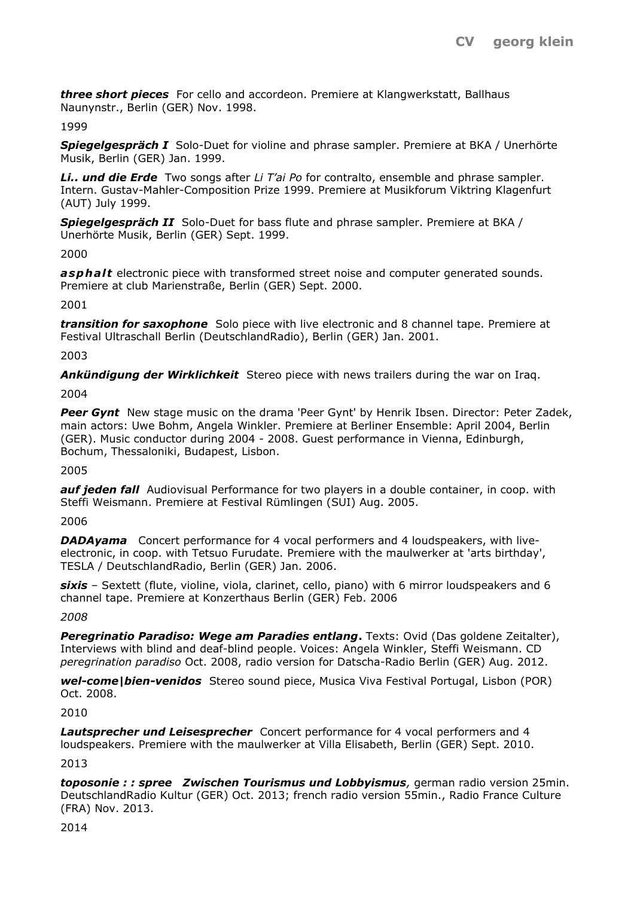*three short pieces* For cello and accordeon. Premiere at Klangwerkstatt, Ballhaus Naunynstr., Berlin (GER) Nov. 1998.

#### 1999

*Spiegelgespräch I* Solo-Duet for violine and phrase sampler. Premiere at BKA / Unerhörte Musik, Berlin (GER) Jan. 1999.

*Li.. und die Erde* Two songs after *Li T'ai Po* for contralto, ensemble and phrase sampler. Intern. Gustav-Mahler-Composition Prize 1999. Premiere at Musikforum Viktring Klagenfurt (AUT) July 1999.

**Spiegelgespräch II** Solo-Duet for bass flute and phrase sampler. Premiere at BKA / Unerhörte Musik, Berlin (GER) Sept. 1999.

#### 2000

asphalt electronic piece with transformed street noise and computer generated sounds. Premiere at club Marienstraße, Berlin (GER) Sept. 2000.

#### 2001

*transition for saxophone* Solo piece with live electronic and 8 channel tape. Premiere at Festival Ultraschall Berlin (DeutschlandRadio), Berlin (GER) Jan. 2001.

#### 2003

Ankündigung der Wirklichkeit Stereo piece with news trailers during the war on Iraq.

#### 2004

Peer Gynt<sup>*New stage music on the drama 'Peer Gynt' by Henrik Ibsen. Director: Peter Zadek,</sup>* main actors: Uwe Bohm, Angela Winkler. Premiere at Berliner Ensemble: April 2004, Berlin (GER). Music conductor during 2004 - 2008. Guest performance in Vienna, Edinburgh, Bochum, Thessaloniki, Budapest, Lisbon.

## 2005

*auf jeden fall* Audiovisual Performance for two players in a double container, in coop. with Steffi Weismann. Premiere at Festival Rümlingen (SUI) Aug. 2005.

## 2006

*DADAyama* Concert performance for 4 vocal performers and 4 loudspeakers, with liveelectronic, in coop. with Tetsuo Furudate. Premiere with the maulwerker at 'arts birthday', TESLA / DeutschlandRadio, Berlin (GER) Jan. 2006.

*sixis* – Sextett (flute, violine, viola, clarinet, cello, piano) with 6 mirror loudspeakers and 6 channel tape. Premiere at Konzerthaus Berlin (GER) Feb. 2006

*2008*

**Peregrinatio Paradiso: Wege am Paradies entlang.** Texts: Ovid (Das goldene Zeitalter), Interviews with blind and deaf-blind people. Voices: Angela Winkler, Steffi Weismann. CD *peregrination paradiso* Oct. 2008, radio version for Datscha-Radio Berlin (GER) Aug. 2012.

*wel-come|bien-venidos* Stereo sound piece, Musica Viva Festival Portugal, Lisbon (POR) Oct. 2008.

2010

*Lautsprecher und Leisesprecher* Concert performance for 4 vocal performers and 4 loudspeakers. Premiere with the maulwerker at Villa Elisabeth, Berlin (GER) Sept. 2010.

2013

*toposonie : : spree Zwischen Tourismus und Lobbyismus,* german radio version 25min. DeutschlandRadio Kultur (GER) Oct. 2013; french radio version 55min., Radio France Culture (FRA) Nov. 2013.

2014